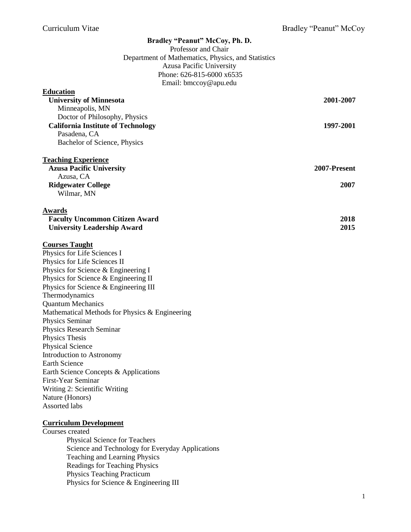| Bradley "Peanut" McCoy, Ph. D.                               |              |
|--------------------------------------------------------------|--------------|
| Professor and Chair                                          |              |
| Department of Mathematics, Physics, and Statistics           |              |
| <b>Azusa Pacific University</b><br>Phone: 626-815-6000 x6535 |              |
| Email: bmccoy@apu.edu                                        |              |
| <b>Education</b>                                             |              |
| <b>University of Minnesota</b>                               | 2001-2007    |
| Minneapolis, MN                                              |              |
| Doctor of Philosophy, Physics                                |              |
| <b>California Institute of Technology</b>                    | 1997-2001    |
| Pasadena, CA                                                 |              |
| Bachelor of Science, Physics                                 |              |
|                                                              |              |
| <b>Teaching Experience</b>                                   |              |
| <b>Azusa Pacific University</b>                              | 2007-Present |
| Azusa, CA                                                    |              |
| <b>Ridgewater College</b>                                    | 2007         |
| Wilmar, MN                                                   |              |
| <b>Awards</b>                                                |              |
| <b>Faculty Uncommon Citizen Award</b>                        | 2018         |
| <b>University Leadership Award</b>                           | 2015         |
|                                                              |              |
| <b>Courses Taught</b>                                        |              |
| Physics for Life Sciences I                                  |              |
| Physics for Life Sciences II                                 |              |
| Physics for Science & Engineering I                          |              |
| Physics for Science & Engineering II                         |              |
| Physics for Science & Engineering III                        |              |
| Thermodynamics                                               |              |
| <b>Quantum Mechanics</b>                                     |              |
| Mathematical Methods for Physics & Engineering               |              |
| Physics Seminar                                              |              |
| Physics Research Seminar                                     |              |
| Physics Thesis                                               |              |
| <b>Physical Science</b><br>Introduction to Astronomy         |              |
| Earth Science                                                |              |
| Earth Science Concepts & Applications                        |              |
| First-Year Seminar                                           |              |
| Writing 2: Scientific Writing                                |              |
| Nature (Honors)                                              |              |
| <b>Assorted labs</b>                                         |              |
|                                                              |              |
| <b>Curriculum Development</b>                                |              |
| Courses created                                              |              |

Physical Science for Teachers Science and Technology for Everyday Applications Teaching and Learning Physics Readings for Teaching Physics Physics Teaching Practicum Physics for Science & Engineering III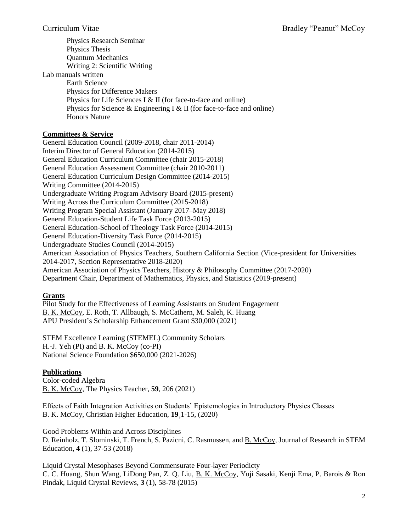Physics Research Seminar Physics Thesis Quantum Mechanics Writing 2: Scientific Writing Lab manuals written Earth Science Physics for Difference Makers Physics for Life Sciences I & II (for face-to-face and online) Physics for Science & Engineering I & II (for face-to-face and online) Honors Nature

## **Committees & Service**

General Education Council (2009-2018, chair 2011-2014) Interim Director of General Education (2014-2015) General Education Curriculum Committee (chair 2015-2018) General Education Assessment Committee (chair 2010-2011) General Education Curriculum Design Committee (2014-2015) Writing Committee (2014-2015) Undergraduate Writing Program Advisory Board (2015-present) Writing Across the Curriculum Committee (2015-2018) Writing Program Special Assistant (January 2017–May 2018) General Education-Student Life Task Force (2013-2015) General Education-School of Theology Task Force (2014-2015) General Education-Diversity Task Force (2014-2015) Undergraduate Studies Council (2014-2015) American Association of Physics Teachers, Southern California Section (Vice-president for Universities 2014-2017, Section Representative 2018-2020) American Association of Physics Teachers, History & Philosophy Committee (2017-2020) Department Chair, Department of Mathematics, Physics, and Statistics (2019-present)

## **Grants**

Pilot Study for the Effectiveness of Learning Assistants on Student Engagement B. K. McCoy, E. Roth, T. Allbaugh, S. McCathern, M. Saleh, K. Huang APU President's Scholarship Enhancement Grant \$30,000 (2021)

STEM Excellence Learning (STEMEL) Community Scholars H.-J. Yeh (PI) and B. K. McCoy (co-PI) National Science Foundation \$650,000 (2021-2026)

# **Publications**

Color-coded Algebra B. K. McCoy, The Physics Teacher, **59**, 206 (2021)

Effects of Faith Integration Activities on Students' Epistemologies in Introductory Physics Classes B. K. McCoy, Christian Higher Education, **19**¸1-15, (2020)

Good Problems Within and Across Disciplines D. Reinholz, T. Slominski, T. French, S. Pazicni, C. Rasmussen, and B. McCoy, Journal of Research in STEM Education, **4** (1), 37-53 (2018)

Liquid Crystal Mesophases Beyond Commensurate Four-layer Periodicty C. C. Huang, Shun Wang, LiDong Pan, Z. Q. Liu, B. K. McCoy, Yuji Sasaki, Kenji Ema, P. Barois & Ron Pindak, Liquid Crystal Reviews, **3** (1), 58-78 (2015)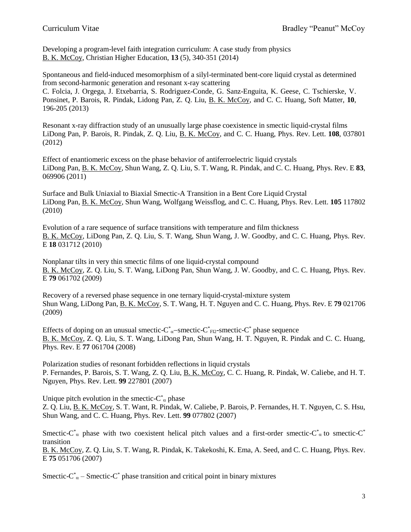Developing a program-level faith integration curriculum: A case study from physics B. K. McCoy, Christian Higher Education, **13** (5), 340-351 (2014)

Spontaneous and field-induced mesomorphism of a silyl-terminated bent-core liquid crystal as determined from second-harmonic generation and resonant x-ray scattering C. Folcia, J. Orgega, J. Etxebarria, S. Rodriguez-Conde, G. Sanz-Enguita, K. Geese, C. Tschierske, V. Ponsinet, P. Barois, R. Pindak, Lidong Pan, Z. Q. Liu, B. K. McCoy, and C. C. Huang, Soft Matter, **10**, 196-205 (2013)

Resonant x-ray diffraction study of an unusually large phase coexistence in smectic liquid-crystal films LiDong Pan, P. Barois, R. Pindak, Z. Q. Liu, B. K. McCoy, and C. C. Huang, Phys. Rev. Lett. **108**, 037801 (2012)

Effect of enantiomeric excess on the phase behavior of antiferroelectric liquid crystals LiDong Pan, B. K. McCoy, Shun Wang, Z. Q. Liu, S. T. Wang, R. Pindak, and C. C. Huang, Phys. Rev. E **83**, 069906 (2011)

Surface and Bulk Uniaxial to Biaxial Smectic-A Transition in a Bent Core Liquid Crystal LiDong Pan, B. K. McCoy, Shun Wang, Wolfgang Weissflog, and C. C. Huang, Phys. Rev. Lett. **105** 117802 (2010)

Evolution of a rare sequence of surface transitions with temperature and film thickness B. K. McCoy, LiDong Pan, Z. Q. Liu, S. T. Wang, Shun Wang, J. W. Goodby, and C. C. Huang, Phys. Rev. E **18** 031712 (2010)

Nonplanar tilts in very thin smectic films of one liquid-crystal compound B. K. McCoy, Z. Q. Liu, S. T. Wang, LiDong Pan, Shun Wang, J. W. Goodby, and C. C. Huang, Phys. Rev. E **79** 061702 (2009)

Recovery of a reversed phase sequence in one ternary liquid-crystal-mixture system Shun Wang, LiDong Pan, B. K. McCoy, S. T. Wang, H. T. Nguyen and C. C. Huang, Phys. Rev. E **79** 021706 (2009)

Effects of doping on an unusual smectic- $C^*_{\alpha}$ -smectic- $C^*_{\text{FI2}}$ -smectic- $C^*$  phase sequence B. K. McCoy, Z. Q. Liu, S. T. Wang, LiDong Pan, Shun Wang, H. T. Nguyen, R. Pindak and C. C. Huang, Phys. Rev. E **77** 061704 (2008)

Polarization studies of resonant forbidden reflections in liquid crystals P. Fernandes, P. Barois, S. T. Wang, Z. Q. Liu, B. K. McCoy, C. C. Huang, R. Pindak, W. Caliebe, and H. T. Nguyen, Phys. Rev. Lett. **99** 227801 (2007)

Unique pitch evolution in the smectic- $C^*_{\alpha}$  phase Z. Q. Liu, B. K. McCoy, S. T. Want, R. Pindak, W. Caliebe, P. Barois, P. Fernandes, H. T. Nguyen, C. S. Hsu, Shun Wang, and C. C. Huang, Phys. Rev. Lett. **99** 077802 (2007)

Smectic-C<sup>\*</sup><sub>α</sub> phase with two coexistent helical pitch values and a first-order smectic-C<sup>\*</sup><sub>α</sub> to smectic-C<sup>\*</sup> transition

B. K. McCoy, Z. Q. Liu, S. T. Wang, R. Pindak, K. Takekoshi, K. Ema, A. Seed, and C. C. Huang, Phys. Rev. E **75** 051706 (2007)

Smectic-C<sup>\*</sup><sub> $\alpha$ </sub> – Smectic-C<sup>\*</sup> phase transition and critical point in binary mixtures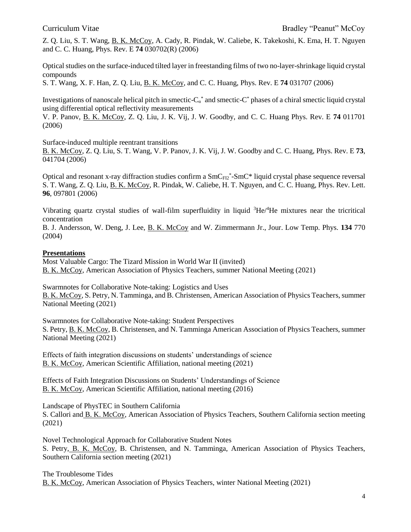Z. Q. Liu, S. T. Wang, B. K. McCoy, A. Cady, R. Pindak, W. Caliebe, K. Takekoshi, K. Ema, H. T. Nguyen and C. C. Huang, Phys. Rev. E **74** 030702(R) (2006)

Optical studies on the surface-induced tilted layer in freestanding films of two no-layer-shrinkage liquid crystal compounds

S. T. Wang, X. F. Han, Z. Q. Liu, B. K. McCoy, and C. C. Huang, Phys. Rev. E **74** 031707 (2006)

Investigations of nanoscale helical pitch in smectic- $C_{\alpha}^*$  and smectic- $C^*$  phases of a chiral smectic liquid crystal using differential optical reflectivity measurements

V. P. Panov, B. K. McCoy, Z. Q. Liu, J. K. Vij, J. W. Goodby, and C. C. Huang Phys. Rev. E **74** 011701 (2006)

Surface-induced multiple reentrant transitions

B. K. McCoy, Z. Q. Liu, S. T. Wang, V. P. Panov, J. K. Vij, J. W. Goodby and C. C. Huang, Phys. Rev. E **73**, 041704 (2006)

Optical and resonant x-ray diffraction studies confirm a  $SmC_{FI2}^*$ -SmC\* liquid crystal phase sequence reversal S. T. Wang, Z. Q. Liu, B. K. McCoy, R. Pindak, W. Caliebe, H. T. Nguyen, and C. C. Huang, Phys. Rev. Lett. **96**, 097801 (2006)

Vibrating quartz crystal studies of wall-film superfluidity in liquid <sup>3</sup>He/<sup>4</sup>He mixtures near the tricritical concentration

B. J. Andersson, W. Deng, J. Lee, B. K. McCoy and W. Zimmermann Jr., Jour. Low Temp. Phys. **134** 770 (2004)

### **Presentations**

Most Valuable Cargo: The Tizard Mission in World War II (invited) B. K. McCoy, American Association of Physics Teachers, summer National Meeting (2021)

Swarmnotes for Collaborative Note-taking: Logistics and Uses B. K. McCoy, S. Petry, N. Tamminga, and B. Christensen, American Association of Physics Teachers, summer National Meeting (2021)

Swarmnotes for Collaborative Note-taking: Student Perspectives S. Petry, B. K. McCoy, B. Christensen, and N. Tamminga American Association of Physics Teachers, summer National Meeting (2021)

Effects of faith integration discussions on students' understandings of science B. K. McCoy, American Scientific Affiliation, national meeting (2021)

Effects of Faith Integration Discussions on Students' Understandings of Science B. K. McCoy, American Scientific Affiliation, national meeting (2016)

Landscape of PhysTEC in Southern California

S. Callori and B. K. McCoy, American Association of Physics Teachers, Southern California section meeting (2021)

Novel Technological Approach for Collaborative Student Notes S. Petry, B. K. McCoy, B. Christensen, and N. Tamminga, American Association of Physics Teachers, Southern California section meeting (2021)

The Troublesome Tides B. K. McCoy, American Association of Physics Teachers, winter National Meeting (2021)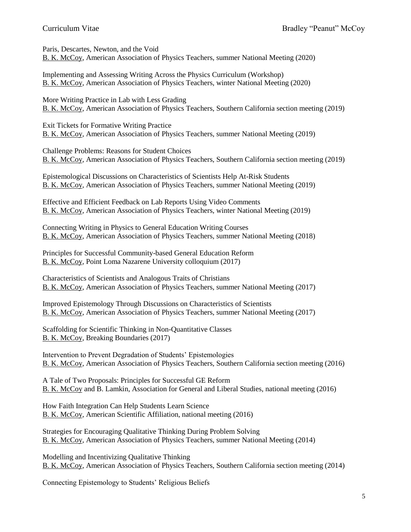Paris, Descartes, Newton, and the Void B. K. McCoy, American Association of Physics Teachers, summer National Meeting (2020)

Implementing and Assessing Writing Across the Physics Curriculum (Workshop) B. K. McCoy, American Association of Physics Teachers, winter National Meeting (2020)

More Writing Practice in Lab with Less Grading B. K. McCoy, American Association of Physics Teachers, Southern California section meeting (2019)

Exit Tickets for Formative Writing Practice B. K. McCoy, American Association of Physics Teachers, summer National Meeting (2019)

Challenge Problems: Reasons for Student Choices B. K. McCoy, American Association of Physics Teachers, Southern California section meeting (2019)

Epistemological Discussions on Characteristics of Scientists Help At-Risk Students B. K. McCoy, American Association of Physics Teachers, summer National Meeting (2019)

Effective and Efficient Feedback on Lab Reports Using Video Comments B. K. McCoy, American Association of Physics Teachers, winter National Meeting (2019)

Connecting Writing in Physics to General Education Writing Courses B. K. McCoy, American Association of Physics Teachers, summer National Meeting (2018)

Principles for Successful Community-based General Education Reform B. K. McCoy, Point Loma Nazarene University colloquium (2017)

Characteristics of Scientists and Analogous Traits of Christians B. K. McCoy, American Association of Physics Teachers, summer National Meeting (2017)

Improved Epistemology Through Discussions on Characteristics of Scientists B. K. McCoy, American Association of Physics Teachers, summer National Meeting (2017)

Scaffolding for Scientific Thinking in Non-Quantitative Classes B. K. McCoy, Breaking Boundaries (2017)

Intervention to Prevent Degradation of Students' Epistemologies B. K. McCoy, American Association of Physics Teachers, Southern California section meeting (2016)

A Tale of Two Proposals: Principles for Successful GE Reform B. K. McCoy and B. Lamkin, Association for General and Liberal Studies, national meeting (2016)

How Faith Integration Can Help Students Learn Science B. K. McCoy, American Scientific Affiliation, national meeting (2016)

Strategies for Encouraging Qualitative Thinking During Problem Solving B. K. McCoy, American Association of Physics Teachers, summer National Meeting (2014)

Modelling and Incentivizing Qualitative Thinking B. K. McCoy, American Association of Physics Teachers, Southern California section meeting (2014)

Connecting Epistemology to Students' Religious Beliefs